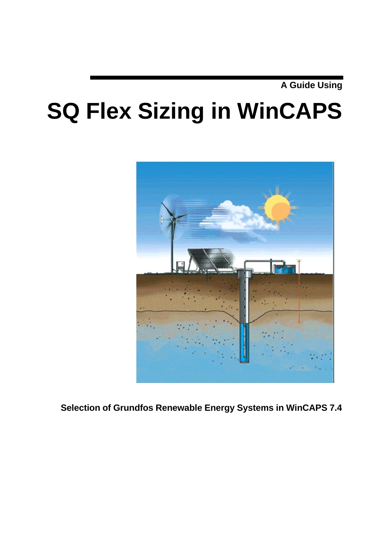**A Guide Using**

# **SQ Flex Sizing in WinCAPS**



**Selection of Grundfos Renewable Energy Systems in WinCAPS 7.4**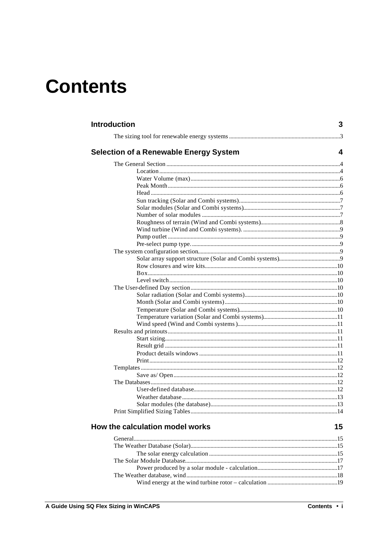# **Contents**

| <b>Introduction</b>                           | 3 |
|-----------------------------------------------|---|
|                                               |   |
| <b>Selection of a Renewable Energy System</b> | 4 |
|                                               |   |
|                                               |   |
|                                               |   |
|                                               |   |
|                                               |   |
|                                               |   |
|                                               |   |
|                                               |   |
|                                               |   |
|                                               |   |
|                                               |   |
|                                               |   |
|                                               |   |
|                                               |   |
|                                               |   |
|                                               |   |
|                                               |   |
|                                               |   |
|                                               |   |
|                                               |   |
|                                               |   |
|                                               |   |
|                                               |   |
|                                               |   |
|                                               |   |
|                                               |   |
|                                               |   |
|                                               |   |
|                                               |   |
|                                               |   |
|                                               |   |
|                                               |   |
|                                               |   |
|                                               |   |
|                                               |   |
|                                               |   |

## How the calculation model works

15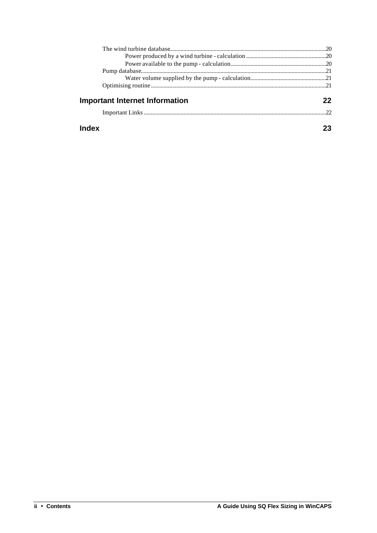| <b>Important Internet Information</b> | 22 |
|---------------------------------------|----|
|                                       |    |
| Index                                 |    |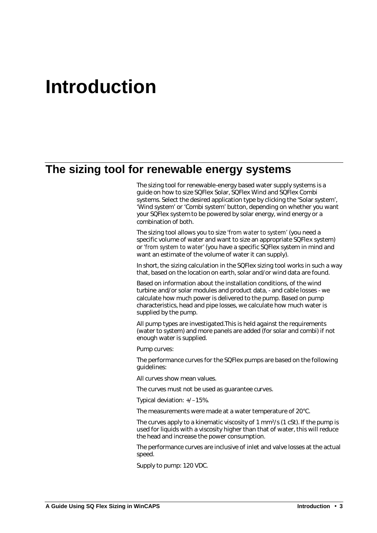# **Introduction**

# **The sizing tool for renewable energy systems**

The sizing tool for renewable-energy based water supply systems is a guide on how to size SQFlex Solar, SQFlex Wind and SQFlex Combi systems. Select the desired application type by clicking the 'Solar system', 'Wind system' or 'Combi system' button, depending on whether you want your SQFlex system to be powered by solar energy, wind energy or a combination of both.

The sizing tool allows you to size *'from water to system'* (you need a specific volume of water and want to size an appropriate SQFlex system) or *'from system to water'* (you have a specific SQFlex system in mind and want an estimate of the volume of water it can supply).

In short, the sizing calculation in the SQFlex sizing tool works in such a way that, based on the location on earth, solar and/or wind data are found.

Based on information about the installation conditions, of the wind turbine and/or solar modules and product data, - and cable losses - we calculate how much power is delivered to the pump. Based on pump characteristics, head and pipe losses, we calculate how much water is supplied by the pump.

All pump types are investigated.This is held against the requirements (water to system) and more panels are added (for solar and combi) if not enough water is supplied.

Pump curves:

The performance curves for the SQFlex pumps are based on the following guidelines:

All curves show mean values.

The curves must not be used as guarantee curves.

Typical deviation: +/–15%.

The measurements were made at a water temperature of 20°C.

The curves apply to a kinematic viscosity of 1 mm²/s (1 cSt). If the pump is used for liquids with a viscosity higher than that of water, this will reduce the head and increase the power consumption.

The performance curves are inclusive of inlet and valve losses at the actual speed.

Supply to pump: 120 VDC.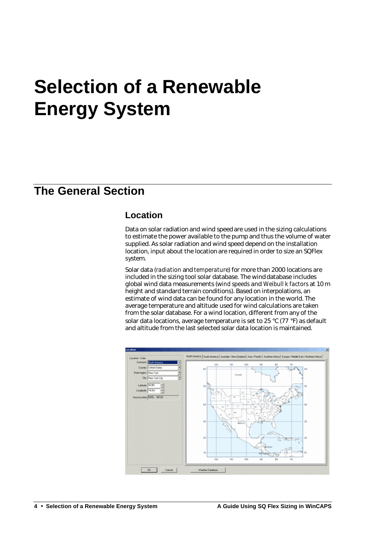# **Selection of a Renewable Energy System**

# **The General Section**

## **Location**

Data on solar radiation and wind speed are used in the sizing calculations to estimate the power available to the pump and thus the volume of water supplied. As solar radiation and wind speed depend on the installation location, input about the location are required in order to size an SQFlex system.

Solar data (*radiation* and *temperature*) for more than 2000 locations are included in the sizing tool solar database. The wind database includes global wind data measurements (w*ind speeds* and *Weibull k factors* at 10 m height and standard terrain conditions). Based on interpolations, an estimate of wind data can be found for any location in the world. The average temperature and altitude used for wind calculations are taken from the solar database. For a wind location, different from any of the solar data locations, average temperature is set to 25 °C (77 °F) as default and altitude from the last selected solar data location is maintained.

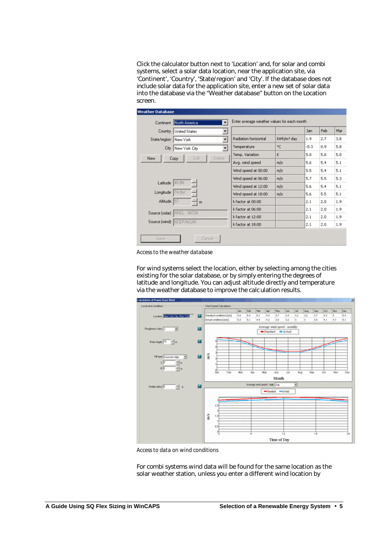Click the calculator button next to 'Location' and, for solar and combi systems, select a solar data location, near the application site, via 'Continent', 'Country', 'State/region' and 'City'. If the database does not include solar data for the application site, enter a new set of solar data into the database via the "Weather database" button on the Location screen.

|                 | Continent North America       | Enter average weather values for each month<br>▼ |                        |        |     |     |
|-----------------|-------------------------------|--------------------------------------------------|------------------------|--------|-----|-----|
| Country         | United States                 | ▼                                                |                        | Jan    | Feb | Mar |
| State/region    | New York                      | Radiation horizontal<br>$\overline{\phantom{a}}$ | kWh/m <sup>2</sup> day | 1.9    | 2.7 | 3.8 |
| City            | New York City                 | Temperature<br>$\blacktriangledown$              | °C                     | $-0.3$ | 0.9 | 5.8 |
| <b>New</b>      | Edit<br><b>Delete</b><br>Copy | Temp. Variation                                  | K                      | 5.0    | 5.0 | 5.0 |
|                 |                               | Avg. wind speed                                  | m/s                    | 5.6    | 5.4 | 5.1 |
|                 |                               | Wind speed at 00:00                              | m/s                    | 5.5    | 5.4 | 5.1 |
|                 |                               | Wind speed at 06:00                              | m/s                    | 5.7    | 5.5 | 5.3 |
| Latitude        | 40.8N                         | Wind speed at 12:00                              | m/s                    | 5.6    | 5.4 | 5.1 |
| Longitude 74,0W |                               | Wind speed at 18:00                              | m/s                    | 5.6    | 5.5 | 5.1 |
| Altitude 57     | $-1$ m                        | k factor at 00:00                                |                        | 2.1    | 2.0 | 1.9 |
| Source (solar)  | NREL: 94728                   | k factor at 06:00                                |                        | 2.1    | 2.0 | 1.9 |
|                 |                               | k factor at 12:00                                |                        | 2.1    | 2.0 | 1.9 |
|                 | Source (wind) NCEP/NCAR       | k factor at 18:00                                |                        | 2.1    | 2.0 | 1.9 |

*Access to the weather database*

For wind systems select the location, either by selecting among the cities existing for the solar database, or by simply entering the degrees of latitude and longitude. You can adjust altitude directly and temperature via the weather database to improve the calc ulation results.



*Access to data on wind conditions*

For combi systems wind data will be found for the same location as the solar weather station, unless you enter a different wind location by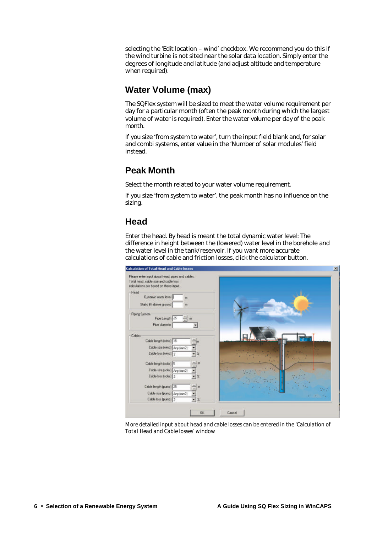selecting the 'Edit location – wind' checkbox. We recommend you do this if the wind turbine is not sited near the solar data location. Simply enter the degrees of longitude and latitude (and adjust altitude and temperature when required).

## **Water Volume (max)**

The SQFlex system will be sized to meet the water volume requirement per day for a particular month (often the peak month during which the largest volume of water is required). Enter the water volume per day of the peak month.

If you size 'from system to water', turn the input field blank and, for solar and combi systems, enter value in the 'Number of solar modules' field instead.

# **Peak Month**

Select the month related to your water volume requirement.

If you size 'from system to water', the peak month has no influence on the sizing.

# **Head**

Enter the head. By head is meant the total dynamic water level: The difference in height between the (lowered) water level in the borehole and the water level in the tank/reservoir. If you want more accurate calculations of cable and friction losses, click the calculator button.



*More detailed input about head and cable losses can be entered in the 'Calculation of Total Head and Cable losses' window*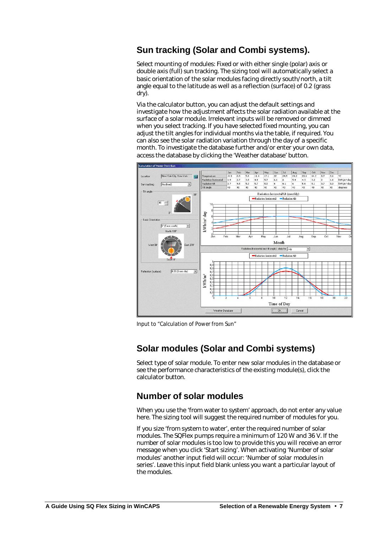# **Sun tracking (Solar and Combi systems).**

Select mounting of modules: Fixed or with either single (polar) axis or double axis (full) sun tracking. The sizing tool will automatically select a basic orientation of the solar modules facing directly south/north, a tilt angle equal to the latitude as well as a reflection (surface) of 0.2 (grass dry).

Via the calculator button, you can adjust the default settings and investigate how the adjustment affects the solar radiation available at the surface of a solar module. Irrelevant inputs will be removed or dimmed when you select tracking. If you have selected fixed mounting, you can adjust the tilt angles for individual months via the table, if required. You can also see the solar radiation variation through the day of a specific month. To investigate the database further and/or enter your own data, access the database by clicking the 'Weather database' button.



*Input to "Calculation of Power from Sun"* 

## **Solar modules (Solar and Combi systems)**

Select type of solar module. To enter new solar modules in the database or see the performance characteristics of the existing module(s), click the calculator button.

## **Number of solar modules**

When you use the 'from water to system' approach, do not enter any value here. The sizing tool will suggest the required number of modules for you.

If you size 'from system to water', enter the required number of solar modules. The SQFlex pumps require a minimum of 120 W and 36 V. If the number of solar modules is too low to provide this you will receive an error message when you click 'Start sizing'. When activating 'Number of solar modules' another input field will occur: 'Number of solar modules in series'. Leave this input field blank unless you want a particular layout of the modules.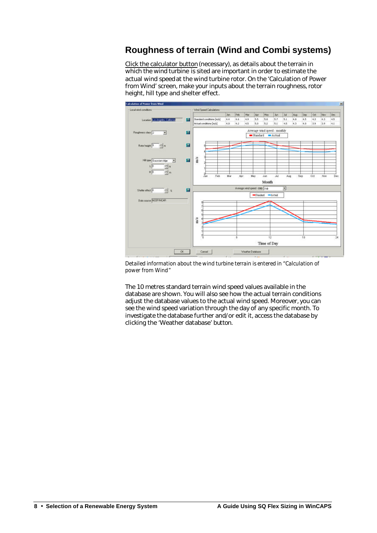# **Roughness of terrain (Wind and Combi systems)**

Click the calculator button (necessary), as details about the terrain in which the wind turbine is sited are important in order to estimate the actual wind speed at the wind turbine rotor. On the 'Calculation of Power from Wind' screen, make your inputs about the terrain roughness, rotor height, hill type and shelter effect.



*Detailed information about the wind turbine terrain is entered in "Calculation of power from Wind"*

The 10 metres standard terrain wind speed values available in the database are shown. You will also see how the actual terrain conditions adjust the database values to the actual wind speed. Moreover, you can see the wind speed variation through the day of any specific month. To investigate the database further and/or edit it, access the database by clicking the 'Weather database' button.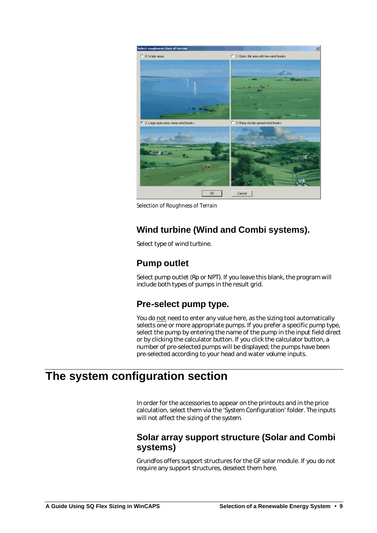

*Selection of Roughness of Terrain*

# **Wind turbine (Wind and Combi systems).**

Select type of wind turbine.

# **Pump outlet**

Select pump outlet (Rp or NPT). If you leave this blank, the program will include both types of pumps in the result grid.

## **Pre-select pump type.**

You do not need to enter any value here, as the sizing tool automatically selects one or more appropriate pumps. If you prefer a specific pump type, select the pump by entering the name of the pump in the input field direct or by clicking the calculator button. If you click the calculator button, a number of pre-selected pumps will be displayed; the pumps have been pre-selected according to your head and water volume inputs.

# **The system configuration section**

In order for the accessories to appear on the printouts and in the price calculation, select them via the 'System Configuration' folder. The inputs will not affect the sizing of the system.

## **Solar array support structure (Solar and Combi systems)**

Grundfos offers support structures for the GF solar module. If you do not require any support structures, deselect them here.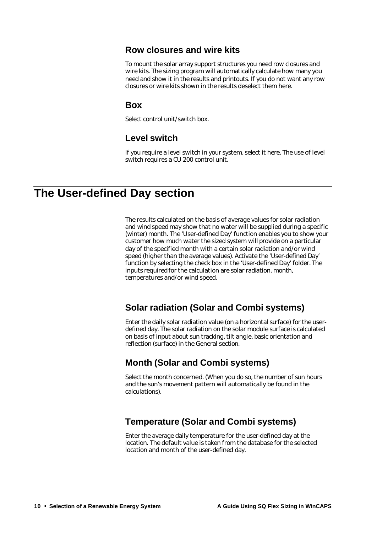## **Row closures and wire kits**

To mount the solar array support structures you need row closures and wire kits. The sizing program will automatically calculate how many you need and show it in the results and printouts. If you do not want any row closures or wire kits shown in the results deselect them here.

## **Box**

Select control unit/switch box.

# **Level switch**

If you require a level switch in your system, select it here. The use of level switch requires a CU 200 control unit.

# **The User-defined Day section**

The results calculated on the basis of average values for solar radiation and wind speed may show that no water will be supplied during a specific (winter) month. The 'User-defined Day' function enables you to show your customer how much water the sized system will provide on a particular day of the specified month with a certain solar radiation and/or wind speed (higher than the average values). Activate the 'User-defined Day' function by selecting the check box in the 'User-defined Day' folder. The inputs required for the calculation are solar radiation, month, temperatures and/or wind speed.

# **Solar radiation (Solar and Combi systems)**

Enter the daily solar radiation value (on a horizontal surface) for the userdefined day. The solar radiation on the solar module surface is calculated on basis of input about sun tracking, tilt angle, basic orientation and reflection (surface) in the General section.

# **Month (Solar and Combi systems)**

Select the month concerned. (When you do so, the number of sun hours and the sun's movement pattern will automatically be found in the calculations).

# **Temperature (Solar and Combi systems)**

Enter the average daily temperature for the user-defined day at the location. The default value is taken from the database for the selected location and month of the user-defined day.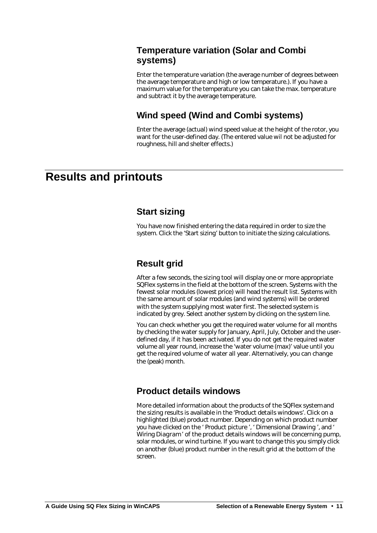## **Temperature variation (Solar and Combi systems)**

Enter the temperature variation (the average number of degrees between the average temperature and high or low temperature.). If you have a maximum value for the temperature you can take the max. temperature and subtract it by the average temperature.

# **Wind speed (Wind and Combi systems)**

Enter the average (actual) wind speed value at the height of the rotor, you want for the user-defined day. (The entered value wil not be adjusted for roughness, hill and shelter effects.)

# **Results and printouts**

## **Start sizing**

You have now finished entering the data required in order to size the system. Click the 'Start sizing' button to initiate the sizing calculations.

# **Result grid**

After a few seconds, the sizing tool will display one or more appropriate SQFlex systems in the field at the bottom of the screen. Systems with the fewest solar modules (lowest price) will head the result list. Systems with the same amount of solar modules (and wind systems) will be ordered with the system supplying most water first. The selected system is indicated by grey. Select another system by clicking on the system line.

You can check whether you get the required water volume for all months by checking the water supply for January, April, July, October and the userdefined day, if it has been activated. If you do not get the required water volume all year round, increase the 'water volume (max)' value until you get the required volume of water all year. Alternatively, you can change the (peak) month.

## **Product details windows**

More detailed information about the products of the SQFlex system and the sizing results is available in the 'Product details windows'. Click on a highlighted (blue) product number. Depending on which product number you have clicked on the ' Product picture ', ' Dimensional Drawing ', and ' Wiring Diagram ' of the product details windows will be concerning pump, solar modules, or wind turbine. If you want to change this you simply click on another (blue) product number in the result grid at the bottom of the screen.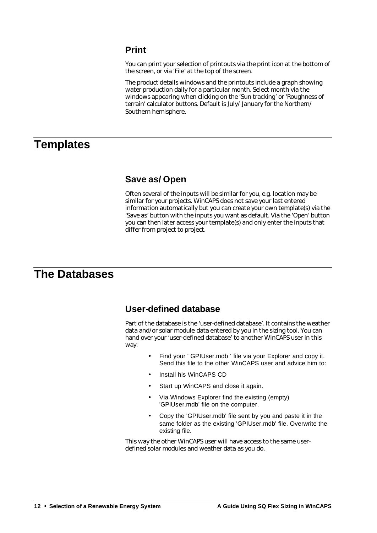# **Print**

You can print your selection of printouts via the print icon at the bottom of the screen, or via 'File' at the top of the screen.

The product details windows and the printouts include a graph showing water production daily for a particular month. Select month via the windows appearing when clicking on the 'Sun tracking' or 'Roughness of terrain' calculator buttons. Default is July/ January for the Northern/ Southern hemisphere.

# **Templates**

## **Save as/ Open**

Often several of the inputs will be similar for you, e.g. location may be similar for your projects. WinCAPS does not save your last entered information automatically but you can create your own template(s) via the 'Save as' button with the inputs you want as default. Via the 'Open' button you can then later access your template(s) and only enter the inputs that differ from project to project.

# **The Databases**

## **User-defined database**

Part of the database is the 'user-defined database'. It contains the weather data and/or solar module data entered by you in the sizing tool. You can hand over your 'user-defined database' to another WinCAPS user in this way:

- Find your ' GPIUser.mdb ' file via your Explorer and copy it. Send this file to the other WinCAPS user and advice him to:
- Install his WinCAPS CD
- Start up WinCAPS and close it again.
- Via Windows Explorer find the existing (empty) 'GPIUser.mdb' file on the computer.
- Copy the 'GPIUser.mdb' file sent by you and paste it in the same folder as the existing 'GPIUser.mdb' file. Overwrite the existing file.

This way the other WinCAPS user will have access to the same userdefined solar modules and weather data as you do.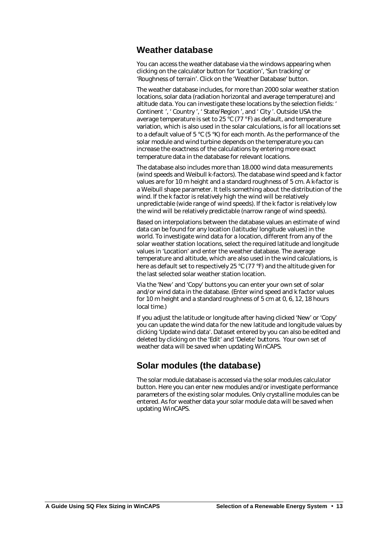## **Weather database**

You can access the weather database via the windows appearing when clicking on the calculator button for 'Location', 'Sun tracking' or 'Roughness of terrain'. Click on the 'Weather Database' button.

The weather database includes, for more than 2000 solar weather station locations, solar data (radiation horizontal and average temperature) and altitude data. You can investigate these locations by the selection fields: ' Continent ', ' Country ', ' State/Region ', and ' City '. Outside USA the average temperature is set to 25  $\degree$ C (77  $\degree$ F) as default, and temperature variation, which is also used in the solar calculations, is for all locations set to a default value of 5 °C (5 °K) for each month. As the performance of the solar module and wind turbine depends on the temperature you can increase the exactness of the calculations by entering more exact temperature data in the database for relevant locations.

The database also includes more than 18.000 wind data measurements (wind speeds and Weibull k-factors). The database wind speed and k factor values are for 10 m height and a standard roughness of 5 cm. A k-factor is a Weibull shape parameter. It tells something about the distribution of the wind. If the k factor is relatively high the wind will be relatively unpredictable (wide range of wind speeds). If the k factor is relatively low the wind will be relatively predictable (narrow range of wind speeds).

Based on interpolations between the database values an estimate of wind data can be found for any location (latitude/ longitude values) in the world. To investigate wind data for a location, different from any of the solar weather station locations, select the required latitude and longitude values in 'Location' and enter the weather database. The average temperature and altitude, which are also used in the wind calculations, is here as default set to respectively 25 °C (77 °F) and the altitude given for the last selected solar weather station location.

Via the 'New' and 'Copy' buttons you can enter your own set of solar and/or wind data in the database. (Enter wind speed and k factor values for 10 m height and a standard roughness of 5 cm at 0, 6, 12, 18 hours local time.)

If you adjust the latitude or longitude after having clicked 'New' or 'Copy' you can update the wind data for the new latitude and longitude values by clicking 'Update wind data'. Dataset entered by you can also be edited and deleted by clicking on the 'Edit' and 'Delete' buttons. Your own set of weather data will be saved when updating WinCAPS.

## **Solar modules (the database)**

The solar module database is accessed via the solar modules calculator button. Here you can enter new modules and/or investigate performance parameters of the existing solar modules. Only crystalline modules can be entered. As for weather data your solar module data will be saved when updating WinCAPS.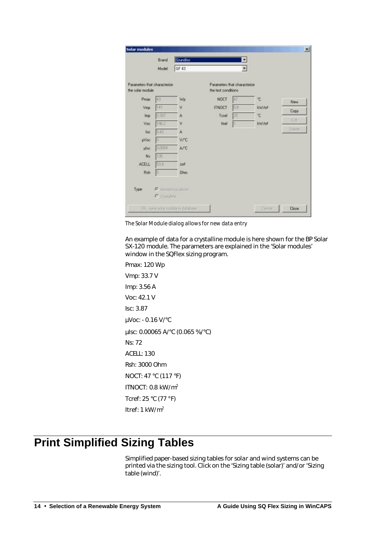| <b>Solar modules</b>                              |        |                 |                                                      |     |                   | $\mathbf{x}$ |
|---------------------------------------------------|--------|-----------------|------------------------------------------------------|-----|-------------------|--------------|
|                                                   | Brand  | Grundfos        |                                                      | ▼   |                   |              |
|                                                   | Model  | GF 43           |                                                      | ۳   |                   |              |
| Parameters that characterize.<br>the solar module |        |                 | Parameters that characterize<br>the test conditions. |     |                   |              |
| Proget                                            | 43     | Wp              | <b>NOCT</b>                                          | 47  | *C.               | <b>New</b>   |
| Vmp                                               | 141    | ٧               | <b>ITNOCT</b>                                        | 创意  | <b>Vullet</b>     | Copy         |
| Imp.                                              | 0.307  | A               | Toret                                                | 25: | *C                |              |
| Voc                                               | 196.2  | ٧               | Itref                                                | 1   | KW/m <sup>2</sup> | Edit         |
| lec-                                              | 0.42   | A               |                                                      |     |                   | Delete       |
| <b>µVoc</b>                                       | Ü.     | V/C             |                                                      |     |                   |              |
| plac                                              | 0.0004 | A/C             |                                                      |     |                   |              |
| Nz                                                | 135    |                 |                                                      |     |                   |              |
|                                                   | 53.8   | cm <sup>2</sup> |                                                      |     |                   |              |
| ACELL                                             |        |                 |                                                      |     |                   |              |

*The Solar Module dialog allows for new data entry*

An example of data for a crystalline module is here shown for the BP Solar SX-120 module. The parameters are explained in the 'Solar modules' window in the SQFlex sizing program.

Pmax: 120 Wp Vmp: 33.7 V Imp: 3.56 A Voc: 42.1 V Isc: 3.87 μVoc: - 0.16 V/°C μIsc: 0.00065 A/°C (0.065 %/°C) Ns: 72 ACELL: 130 Rsh: 3000 Ohm NOCT: 47 °C (117 °F) ITNOCT: 0.8 kW/m<sup>2</sup> Tcref: 25 °C (77 °F) Itref: 1 kW/m<sup>2</sup>

# **Print Simplified Sizing Tables**

Simplified paper-based sizing tables for solar and wind systems can be printed via the sizing tool. Click on the 'Sizing table (solar)' and/or 'Sizing table (wind)'.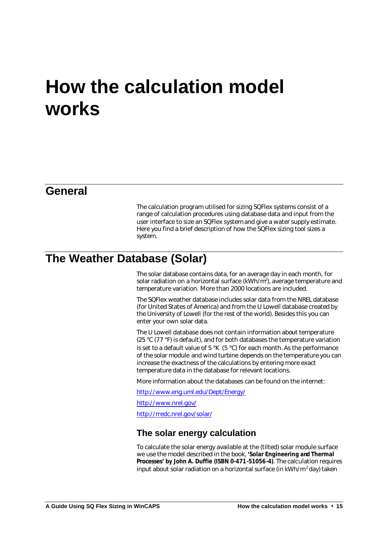# **How the calculation model works**

# **General**

The calculation program utilised for sizing SQFlex systems consist of a range of calculation procedures using database data and input from the user interface to size an SQFlex system and give a water supply estimate. Here you find a brief description of how the SQFlex sizing tool sizes a system.

# **The Weather Database (Solar)**

The solar database contains data, for an average day in each month, for solar radiation on a horizontal surface (kWh/m<sup>2</sup>), average temperature and temperature variation. More than 2000 locations are included.

The SQFlex weather database includes solar data from the NREL database (for United States of America) and from the U Lowell database created by the University of Lowell (for the rest of the world). Besides this you can enter your own solar data.

The U Lowell database does not contain information about temperature (25 °C (77 °F) is default), and for both databases the temperature variation is set to a default value of 5  $\mathrm{K}$  (5  $\mathrm{C}$ ) for each month. As the performance of the solar module and wind turbine depends on the temperature you can increase the exactness of the calculations by entering more exact temperature data in the database for relevant locations.

More information about the databases can be found on the internet:

http://www.eng.uml.edu/Dept/Energy/

http://www.nrel.gov/

http://rredc.nrel.gov/solar/

## **The solar energy calculation**

To calculate the solar energy available at the (tilted) solar module surface we use the model described in the book, **'Solar Engineering and Thermal Processes' by John A. Duffie (ISBN 0-471-51056-4)**. The calculation requires input about solar radiation on a horizontal surface (in  $kWh/m^2$  day) taken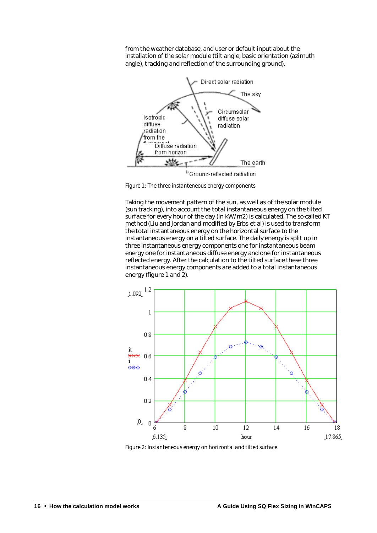from the weather database, and user or default input about the installation of the solar module (tilt angle, basic orientation (azimuth angle), tracking and reflection of the surrounding ground).



*Figure 1: The three instanteneous energy components* 

Taking the movement pattern of the sun, as well as of the solar module (sun tracking), into account the total instantaneous energy on the tilted surface for every hour of the day (in kW/m2) is calculated. The so-called KT method (Liu and Jordan and modified by Erbs et al) is used to transform the total instantaneous energy on the horizontal surface to the instantaneous energy on a tilted surface. The daily energy is split up in three instantaneous energy components one for instantaneous beam energy one for instantaneous diffuse energy and one for instantaneous reflected energy. After the calculation to the tilted surface these three instantaneous energy components are added to a total instantaneous energy (figure 1 and 2).



*Figure 2: Instanteneous energy on horizontal and tilted surface.*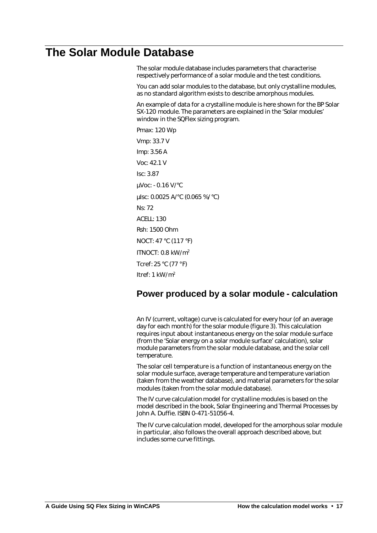# **The Solar Module Database**

The solar module database includes parameters that characterise respectively performance of a solar module and the test conditions.

You can add solar modules to the database, but only crystalline modules, as no standard algorithm exists to describe amorphous modules.

An example of data for a crystalline module is here shown for the BP Solar SX-120 module. The parameters are explained in the 'Solar modules' window in the SQFlex sizing program.

Pmax: 120 Wp Vmp: 33.7 V Imp: 3.56 A Voc: 42.1 V Isc: 3.87 μVoc: - 0.16 V/°C μIsc: 0.0025 A/°C (0.065 %/°C) Ns: 72 ACELL: 130 Rsh: 1500 Ohm NOCT: 47 °C (117 °F) ITNOCT: 0.8 kW/m<sup>2</sup> Tcref: 25 °C (77 °F) Itref: 1 kW/m<sup>2</sup>

## **Power produced by a solar module - calculation**

An IV (current, voltage) curve is calculated for every hour (of an average day for each month) for the solar module (figure 3). This calculation requires input about instantaneous energy on the solar module surface (from the 'Solar energy on a solar module surface' calculation), solar module parameters from the solar module database, and the solar cell temperature.

The solar cell temperature is a function of instantaneous energy on the solar module surface, average temperature and temperature variation (taken from the weather database), and material parameters for the solar modules (taken from the solar module database).

The IV curve calculation model for crystalline modules is based on the model described in the book, Solar Engineering and Thermal Processes by John A. Duffie. ISBN 0-471-51056-4.

The IV curve calculation model, developed for the amorphous solar module in particular, also follows the overall approach described above, but includes some curve fittings.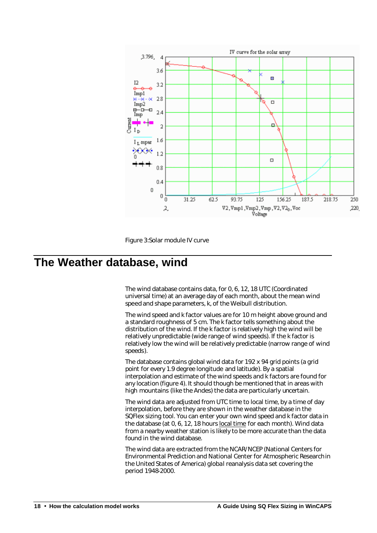



# **The Weather database, wind**

The wind database contains data, for 0, 6, 12, 18 UTC (Coordinated universal time) at an average day of each month, about the mean wind speed and shape parameters, k, of the Weibull distribution.

The wind speed and k factor values are for 10 m height above ground and a standard roughness of 5 cm. The k factor tells something about the distribution of the wind. If the k factor is relatively high the wind will be relatively unpredictable (wide range of wind speeds). If the k factor is relatively low the wind will be relatively predictable (narrow range of wind speeds).

The database contains global wind data for 192 x 94 grid points (a grid point for every 1.9 degree longitude and latitude). By a spatial interpolation and estimate of the wind speeds and k factors are found for any location (figure 4). It should though be mentioned that in areas with high mountains (like the Andes) the data are particularly uncertain.

The wind data are adjusted from UTC time to local time, by a time of day interpolation, before they are shown in the weather database in the SQFlex sizing tool. You can enter your own wind speed and k factor data in the database (at 0, 6, 12, 18 hours local time for each month). Wind data from a nearby weather station is likely to be more accurate than the data found in the wind database.

The wind data are extracted from the NCAR/NCEP (National Centers for Environmental Prediction and National Center for Atmospheric Research in the United States of America) global reanalysis data set covering the period 1948-2000.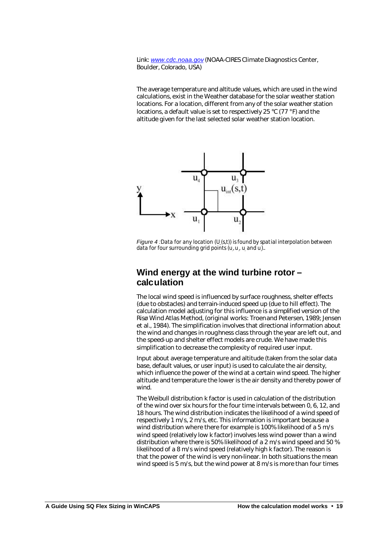Link: *www.cdc.noaa.gov* (NOAA-CIRES Climate Diagnostics Center, Boulder, Colorado, USA)

The average temperature and altitude values, which are used in the wind calculations, exist in the Weather database for the solar weather station locations. For a location, different from any of the solar weather station locations, a default value is set to respectively 25 °C (77 °F) and the altitude given for the last selected solar weather station location.



*Figure 4 :Data for any location (U<sub>'</sub>(s,t)) is found by spatial interpolation between data for four surrounding grid points (u<sup>1</sup> , u<sup>2</sup> , u<sup>3</sup> and u<sup>4</sup> )..*

## **Wind energy at the wind turbine rotor – calculation**

The local wind speed is influenced by surface roughness, shelter effects (due to obstacles) and terrain-induced speed up (due to hill effect). The calculation model adjusting for this influence is a simplified version of the Risø Wind Atlas Method, (original works: Troen and Petersen, 1989; Jensen et al., 1984). The simplification involves that directional information about the wind and changes in roughness class through the year are left out, and the speed-up and shelter effect models are crude. We have made this simplification to decrease the complexity of required user input.

Input about average temperature and altitude (taken from the solar data base, default values, or user input) is used to calculate the air density, which influence the power of the wind at a certain wind speed. The higher altitude and temperature the lower is the air density and thereby power of wind.

The Weibull distribution k factor is used in calculation of the distribution of the wind over six hours for the four time intervals between 0, 6, 12, and 18 hours. The wind distribution indicates the likelihood of a wind speed of respectively 1 m/s, 2 m/s, etc. This information is important because a wind distribution where there for example is 100% likelihood of a 5 m/s wind speed (relatively low k factor) involves less wind power than a wind distribution where there is 50% likelihood of a 2 m/s wind speed and 50 % likelihood of a 8 m/s wind speed (relatively high k factor). The reason is that the power of the wind is very non-linear. In both situations the mean wind speed is 5 m/s, but the wind power at 8 m/s is more than four times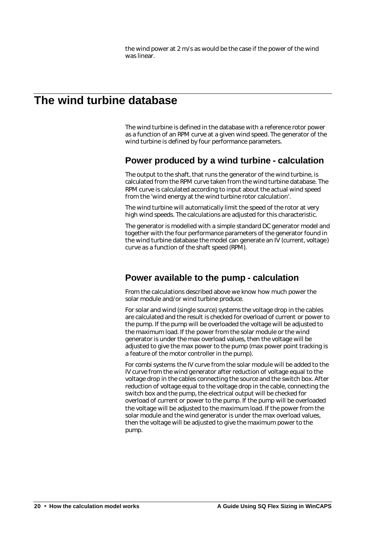the wind power at 2 m/s as would be the case if the power of the wind was linear.

# **The wind turbine database**

The wind turbine is defined in the database with a reference rotor power as a function of an RPM curve at a given wind speed. The generator of the wind turbine is defined by four performance parameters.

## **Power produced by a wind turbine - calculation**

The output to the shaft, that runs the generator of the wind turbine, is calculated from the RPM curve taken from the wind turbine database. The RPM curve is calculated according to input about the actual wind speed from the 'wind energy at the wind turbine rotor calculation'.

The wind turbine will automatically limit the speed of the rotor at very high wind speeds. The calculations are adjusted for this characteristic.

The generator is modelled with a simple standard DC generator model and together with the four performance parameters of the generator found in the wind turbine database the model can generate an IV (current, voltage) curve as a function of the shaft speed (RPM).

## **Power available to the pump - calculation**

From the calculations described above we know how much power the solar module and/or wind turbine produce.

For solar and wind (single source) systems the voltage drop in the cables are calculated and the result is checked for overload of current or power to the pump. If the pump will be overloaded the voltage will be adjusted to the maximum load. If the power from the solar module or the wind generator is under the max overload values, then the voltage will be adjusted to give the max power to the pump (max power point tracking is a feature of the motor controller in the pump).

For combi systems the IV curve from the solar module will be added to the IV curve from the wind generator after reduction of voltage equal to the voltage drop in the cables connecting the source and the switch box. After reduction of voltage equal to the voltage drop in the cable, connecting the switch box and the pump, the electrical output will be checked for overload of current or power to the pump. If the pump will be overloaded the voltage will be adjusted to the maximum load. If the power from the solar module and the wind generator is under the max overload values, then the voltage will be adjusted to give the maximum power to the pump.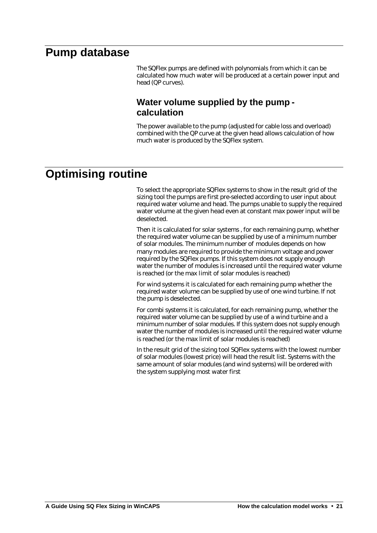# **Pump database**

The SQFlex pumps are defined with polynomials from which it can be calculated how much water will be produced at a certain power input and head (QP curves).

## **Water volume supplied by the pump calculation**

The power available to the pump (adjusted for cable loss and overload) combined with the QP curve at the given head allows calculation of how much water is produced by the SQFlex system.

# **Optimising routine**

To select the appropriate SQFlex systems to show in the result grid of the sizing tool the pumps are first pre-selected according to user input about required water volume and head. The pumps unable to supply the required water volume at the given head even at constant max power input will be deselected.

Then it is calculated for solar systems , for each remaining pump, whether the required water volume can be supplied by use of a minimum number of solar modules. The minimum number of modules depends on how many modules are required to provide the minimum voltage and power required by the SQFlex pumps. If this system does not supply enough water the number of modules is increased until the required water volume is reached (or the max limit of solar modules is reached)

For wind systems it is calculated for each remaining pump whether the required water volume can be supplied by use of one wind turbine. If not the pump is deselected.

For combi systems it is calculated, for each remaining pump, whether the required water volume can be supplied by use of a wind turbine and a minimum number of solar modules. If this system does not supply enough water the number of modules is increased until the required water volume is reached (or the max limit of solar modules is reached)

In the result grid of the sizing tool SQFlex systems with the lowest number of solar modules (lowest price) will head the result list. Systems with the same amount of solar modules (and wind systems) will be ordered with the system supplying most water first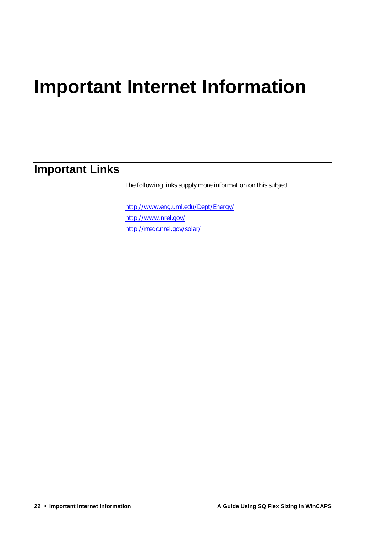# **Important Internet Information**

# **Important Links**

The following links supply more information on this subject

http://www.eng.uml.edu/Dept/Energy/ http://www.nrel.gov/ http://rredc.nrel.gov/solar/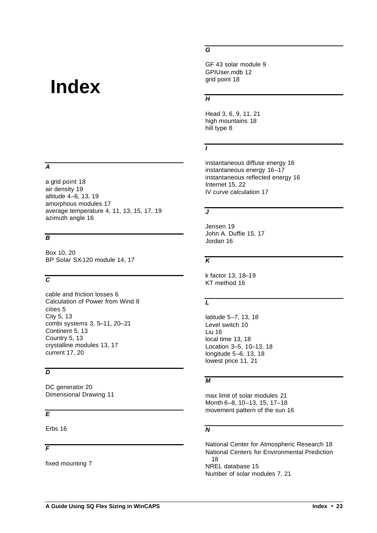# **Index**

#### *A*

a grid point 18 air density 19 altitude 4–6, 13, 19 amorphous modules 17 average temperature 4, 11, 13, 15, 17, 19 azimuth angle 16

### *B*

Box 10, 20 BP Solar SX-120 module 14, 17

### *C*

cable and friction losses 6 Calculation of Power from Wind 8 cities 5 City 5, 13 combi systems 3, 5–11, 20–21 Continent 5, 13 Country 5, 13 crystalline modules 13, 17 current 17, 20

### *D*

DC generator 20 Dimensional Drawing 11

### *E*

Erbs 16

### *F*

fixed mounting 7

#### *G*

GF 43 solar module 9 GPIUser.mdb 12 grid point 18

#### *H*

Head 3, 6, 9, 11, 21 high mountains 18 hill type 8

### *I*

instantaneous diffuse energy 16 instantaneous energy 16–17 instantaneous reflected energy 16 Internet 15, 22 IV curve calculation 17

### *J*

Jensen 19 John A. Duffie 15, 17 Jordan 16

### *K*

k factor 13, 18–19 KT method 16

### *L*

latitude 5–7, 13, 18 Level switch 10 Liu 16 local time 13, 18 Location 3–5, 10–13, 18 longitude 5–6, 13, 18 lowest price 11, 21

### *M*

max limit of solar modules 21 Month 6–8, 10–13, 15, 17–18 movement pattern of the sun 16

### *N*

National Center for Atmospheric Research 18 National Centers for Environmental Prediction 18 NREL database 15 Number of solar modules 7, 21